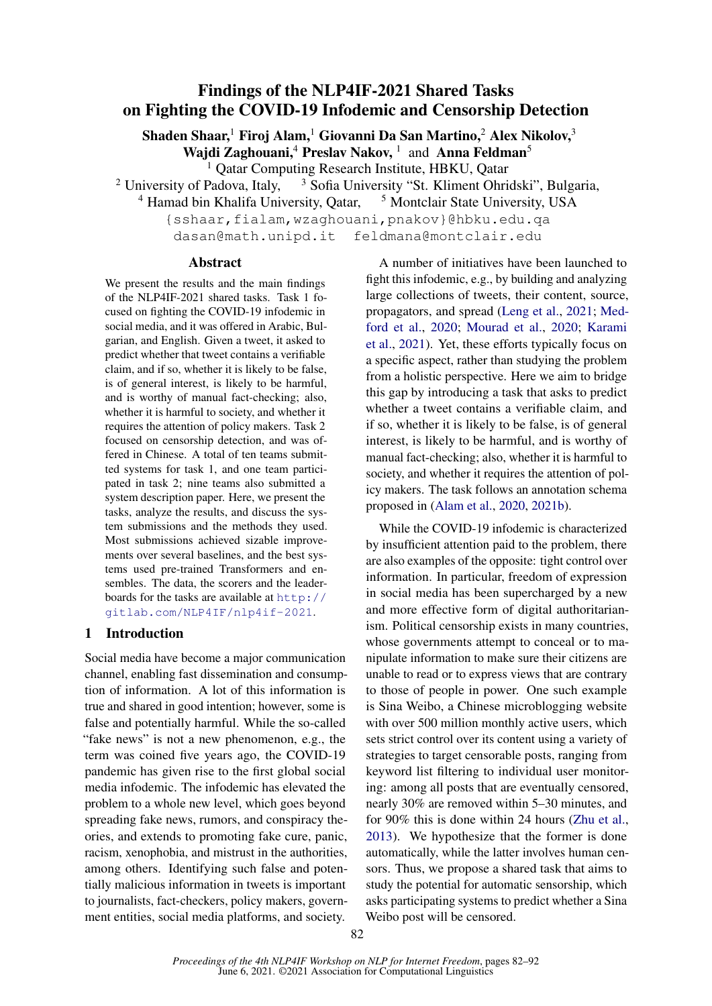# Findings of the NLP4IF-2021 Shared Tasks on Fighting the COVID-19 Infodemic and Censorship Detection

Shaden Shaar,<sup>1</sup> Firoj Alam,<sup>1</sup> Giovanni Da San Martino,<sup>2</sup> Alex Nikolov,<sup>3</sup>

Wajdi Zaghouani,<sup>4</sup> Preslav Nakov,<sup>1</sup> and Anna Feldman<sup>5</sup>

<sup>1</sup> Qatar Computing Research Institute, HBKU, Qatar

<sup>2</sup> University of Padova, Italy,  $\frac{3}{3}$  Sofia University "St. Kliment Ohridski", Bulgaria,

 $4$  Hamad bin Khalifa University, Qatar,  $5$  Montclair State University, USA

{sshaar,fialam,wzaghouani,pnakov}@hbku.edu.qa dasan@math.unipd.it feldmana@montclair.edu

## Abstract

We present the results and the main findings of the NLP4IF-2021 shared tasks. Task 1 focused on fighting the COVID-19 infodemic in social media, and it was offered in Arabic, Bulgarian, and English. Given a tweet, it asked to predict whether that tweet contains a verifiable claim, and if so, whether it is likely to be false, is of general interest, is likely to be harmful, and is worthy of manual fact-checking; also, whether it is harmful to society, and whether it requires the attention of policy makers. Task 2 focused on censorship detection, and was offered in Chinese. A total of ten teams submitted systems for task 1, and one team participated in task 2; nine teams also submitted a system description paper. Here, we present the tasks, analyze the results, and discuss the system submissions and the methods they used. Most submissions achieved sizable improvements over several baselines, and the best systems used pre-trained Transformers and ensembles. The data, the scorers and the leaderboards for the tasks are available at [http://](http://gitlab.com/NLP4IF/nlp4if-2021) [gitlab.com/NLP4IF/nlp4if-2021](http://gitlab.com/NLP4IF/nlp4if-2021).

# 1 Introduction

Social media have become a major communication channel, enabling fast dissemination and consumption of information. A lot of this information is true and shared in good intention; however, some is false and potentially harmful. While the so-called "fake news" is not a new phenomenon, e.g., the term was coined five years ago, the COVID-19 pandemic has given rise to the first global social media infodemic. The infodemic has elevated the problem to a whole new level, which goes beyond spreading fake news, rumors, and conspiracy theories, and extends to promoting fake cure, panic, racism, xenophobia, and mistrust in the authorities, among others. Identifying such false and potentially malicious information in tweets is important to journalists, fact-checkers, policy makers, government entities, social media platforms, and society.

A number of initiatives have been launched to fight this infodemic, e.g., by building and analyzing large collections of tweets, their content, source, propagators, and spread [\(Leng et al.,](#page-9-0) [2021;](#page-9-0) [Med](#page-9-1)[ford et al.,](#page-9-1) [2020;](#page-9-1) [Mourad et al.,](#page-9-2) [2020;](#page-9-2) [Karami](#page-8-0) [et al.,](#page-8-0) [2021\)](#page-8-0). Yet, these efforts typically focus on a specific aspect, rather than studying the problem from a holistic perspective. Here we aim to bridge this gap by introducing a task that asks to predict whether a tweet contains a verifiable claim, and if so, whether it is likely to be false, is of general interest, is likely to be harmful, and is worthy of manual fact-checking; also, whether it is harmful to society, and whether it requires the attention of policy makers. The task follows an annotation schema proposed in [\(Alam et al.,](#page-8-1) [2020,](#page-8-1) [2021b\)](#page-8-2).

While the COVID-19 infodemic is characterized by insufficient attention paid to the problem, there are also examples of the opposite: tight control over information. In particular, freedom of expression in social media has been supercharged by a new and more effective form of digital authoritarianism. Political censorship exists in many countries, whose governments attempt to conceal or to manipulate information to make sure their citizens are unable to read or to express views that are contrary to those of people in power. One such example is Sina Weibo, a Chinese microblogging website with over 500 million monthly active users, which sets strict control over its content using a variety of strategies to target censorable posts, ranging from keyword list filtering to individual user monitoring: among all posts that are eventually censored, nearly 30% are removed within 5–30 minutes, and for 90% this is done within 24 hours [\(Zhu et al.,](#page-10-0) [2013\)](#page-10-0). We hypothesize that the former is done automatically, while the latter involves human censors. Thus, we propose a shared task that aims to study the potential for automatic sensorship, which asks participating systems to predict whether a Sina Weibo post will be censored.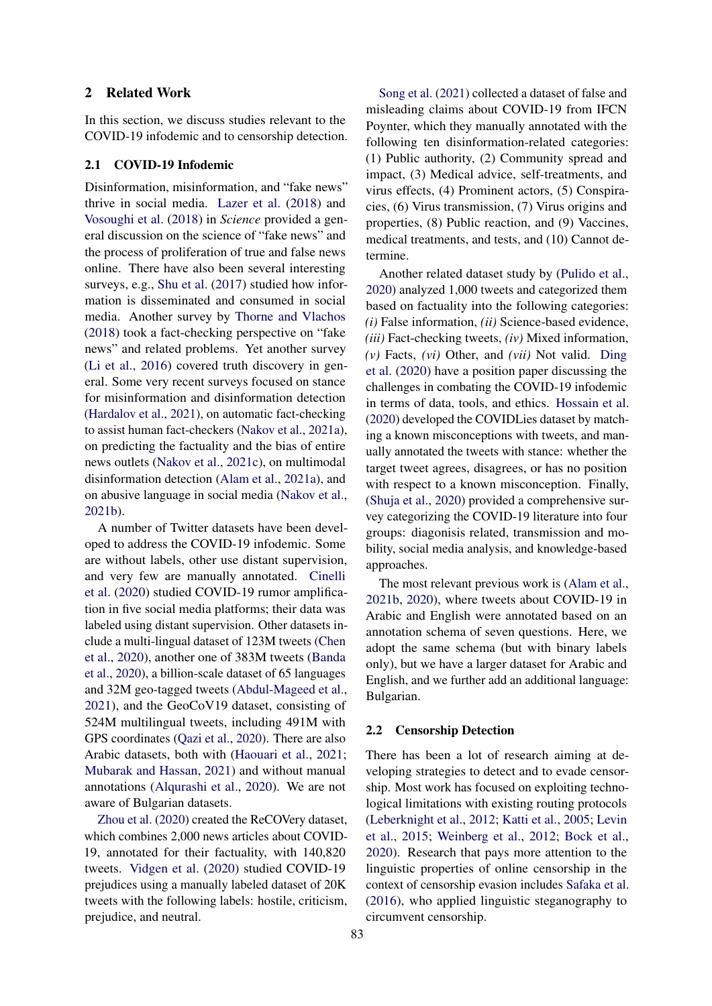## 2 Related Work

In this section, we discuss studies relevant to the COVID-19 infodemic and to censorship detection.

#### 2.1 COVID-19 Infodemic

Disinformation, misinformation, and "fake news" thrive in social media. [Lazer et al.](#page-9-3) [\(2018\)](#page-9-3) and [Vosoughi et al.](#page-10-1) [\(2018\)](#page-10-1) in *Science* provided a general discussion on the science of "fake news" and the process of proliferation of true and false news online. There have also been several interesting surveys, e.g., [Shu et al.](#page-10-2) [\(2017\)](#page-10-2) studied how information is disseminated and consumed in social media. Another survey by [Thorne and Vlachos](#page-10-3) [\(2018\)](#page-10-3) took a fact-checking perspective on "fake news" and related problems. Yet another survey [\(Li et al.,](#page-9-4) [2016\)](#page-9-4) covered truth discovery in general. Some very recent surveys focused on stance for misinformation and disinformation detection [\(Hardalov et al.,](#page-8-3) [2021\)](#page-8-3), on automatic fact-checking to assist human fact-checkers [\(Nakov et al.,](#page-9-5) [2021a\)](#page-9-5), on predicting the factuality and the bias of entire news outlets [\(Nakov et al.,](#page-9-6) [2021c\)](#page-9-6), on multimodal disinformation detection [\(Alam et al.,](#page-8-4) [2021a\)](#page-8-4), and on abusive language in social media [\(Nakov et al.,](#page-9-7) [2021b\)](#page-9-7).

A number of Twitter datasets have been developed to address the COVID-19 infodemic. Some are without labels, other use distant supervision, and very few are manually annotated. [Cinelli](#page-8-5) [et al.](#page-8-5) [\(2020\)](#page-8-5) studied COVID-19 rumor amplification in five social media platforms; their data was labeled using distant supervision. Other datasets include a multi-lingual dataset of 123M tweets [\(Chen](#page-8-6) [et al.,](#page-8-6) [2020\)](#page-8-6), another one of 383M tweets [\(Banda](#page-8-7) [et al.,](#page-8-7) [2020\)](#page-8-7), a billion-scale dataset of 65 languages and 32M geo-tagged tweets [\(Abdul-Mageed et al.,](#page-8-8) [2021\)](#page-8-8), and the GeoCoV19 dataset, consisting of 524M multilingual tweets, including 491M with GPS coordinates [\(Qazi et al.,](#page-10-4) [2020\)](#page-10-4). There are also Arabic datasets, both with [\(Haouari et al.,](#page-8-9) [2021;](#page-8-9) [Mubarak and Hassan,](#page-9-8) [2021\)](#page-9-8) and without manual annotations [\(Alqurashi et al.,](#page-8-10) [2020\)](#page-8-10). We are not aware of Bulgarian datasets.

[Zhou et al.](#page-10-5) [\(2020\)](#page-10-5) created the ReCOVery dataset, which combines 2,000 news articles about COVID-19, annotated for their factuality, with 140,820 tweets. [Vidgen et al.](#page-10-6) [\(2020\)](#page-10-6) studied COVID-19 prejudices using a manually labeled dataset of 20K tweets with the following labels: hostile, criticism, prejudice, and neutral.

[Song et al.](#page-10-7) [\(2021\)](#page-10-7) collected a dataset of false and misleading claims about COVID-19 from IFCN Poynter, which they manually annotated with the following ten disinformation-related categories: (1) Public authority, (2) Community spread and impact, (3) Medical advice, self-treatments, and virus effects, (4) Prominent actors, (5) Conspiracies, (6) Virus transmission, (7) Virus origins and properties, (8) Public reaction, and (9) Vaccines, medical treatments, and tests, and (10) Cannot determine.

Another related dataset study by [\(Pulido et al.,](#page-10-8) [2020\)](#page-10-8) analyzed 1,000 tweets and categorized them based on factuality into the following categories: *(i)* False information, *(ii)* Science-based evidence, *(iii)* Fact-checking tweets, *(iv)* Mixed information, *(v)* Facts, *(vi)* Other, and *(vii)* Not valid. [Ding](#page-8-11) [et al.](#page-8-11) [\(2020\)](#page-8-11) have a position paper discussing the challenges in combating the COVID-19 infodemic in terms of data, tools, and ethics. [Hossain et al.](#page-8-12) [\(2020\)](#page-8-12) developed the COVIDLies dataset by matching a known misconceptions with tweets, and manually annotated the tweets with stance: whether the target tweet agrees, disagrees, or has no position with respect to a known misconception. Finally, [\(Shuja et al.,](#page-10-9) [2020\)](#page-10-9) provided a comprehensive survey categorizing the COVID-19 literature into four groups: diagonisis related, transmission and mobility, social media analysis, and knowledge-based approaches.

The most relevant previous work is [\(Alam et al.,](#page-8-2) [2021b,](#page-8-2) [2020\)](#page-8-1), where tweets about COVID-19 in Arabic and English were annotated based on an annotation schema of seven questions. Here, we adopt the same schema (but with binary labels only), but we have a larger dataset for Arabic and English, and we further add an additional language: Bulgarian.

#### 2.2 Censorship Detection

There has been a lot of research aiming at developing strategies to detect and to evade censorship. Most work has focused on exploiting technological limitations with existing routing protocols [\(Leberknight et al.,](#page-9-9) [2012;](#page-9-9) [Katti et al.,](#page-9-10) [2005;](#page-9-10) [Levin](#page-9-11) [et al.,](#page-9-11) [2015;](#page-9-11) [Weinberg et al.,](#page-10-10) [2012;](#page-10-10) [Bock et al.,](#page-8-13) [2020\)](#page-8-13). Research that pays more attention to the linguistic properties of online censorship in the context of censorship evasion includes [Safaka et al.](#page-10-11) [\(2016\)](#page-10-11), who applied linguistic steganography to circumvent censorship.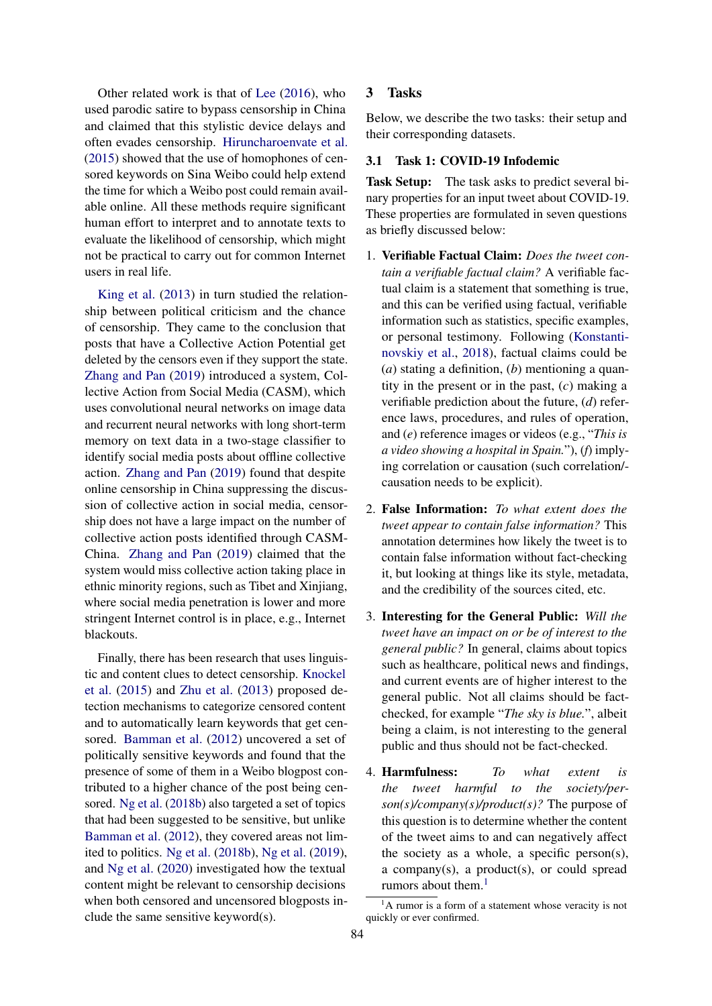Other related work is that of [Lee](#page-9-12) [\(2016\)](#page-9-12), who used parodic satire to bypass censorship in China and claimed that this stylistic device delays and often evades censorship. [Hiruncharoenvate et al.](#page-8-14) [\(2015\)](#page-8-14) showed that the use of homophones of censored keywords on Sina Weibo could help extend the time for which a Weibo post could remain available online. All these methods require significant human effort to interpret and to annotate texts to evaluate the likelihood of censorship, which might not be practical to carry out for common Internet users in real life.

[King et al.](#page-9-13) [\(2013\)](#page-9-13) in turn studied the relationship between political criticism and the chance of censorship. They came to the conclusion that posts that have a Collective Action Potential get deleted by the censors even if they support the state. [Zhang and Pan](#page-10-12) [\(2019\)](#page-10-12) introduced a system, Collective Action from Social Media (CASM), which uses convolutional neural networks on image data and recurrent neural networks with long short-term memory on text data in a two-stage classifier to identify social media posts about offline collective action. [Zhang and Pan](#page-10-12) [\(2019\)](#page-10-12) found that despite online censorship in China suppressing the discussion of collective action in social media, censorship does not have a large impact on the number of collective action posts identified through CASM-China. [Zhang and Pan](#page-10-12) [\(2019\)](#page-10-12) claimed that the system would miss collective action taking place in ethnic minority regions, such as Tibet and Xinjiang, where social media penetration is lower and more stringent Internet control is in place, e.g., Internet blackouts.

Finally, there has been research that uses linguistic and content clues to detect censorship. [Knockel](#page-9-14) [et al.](#page-9-14) [\(2015\)](#page-9-14) and [Zhu et al.](#page-10-0) [\(2013\)](#page-10-0) proposed detection mechanisms to categorize censored content and to automatically learn keywords that get censored. [Bamman et al.](#page-8-15) [\(2012\)](#page-8-15) uncovered a set of politically sensitive keywords and found that the presence of some of them in a Weibo blogpost contributed to a higher chance of the post being censored. [Ng et al.](#page-9-15) [\(2018b\)](#page-9-15) also targeted a set of topics that had been suggested to be sensitive, but unlike [Bamman et al.](#page-8-15) [\(2012\)](#page-8-15), they covered areas not limited to politics. [Ng et al.](#page-9-15) [\(2018b\)](#page-9-15), [Ng et al.](#page-10-13) [\(2019\)](#page-10-13), and [Ng et al.](#page-9-16) [\(2020\)](#page-9-16) investigated how the textual content might be relevant to censorship decisions when both censored and uncensored blogposts include the same sensitive keyword(s).

## 3 Tasks

Below, we describe the two tasks: their setup and their corresponding datasets.

#### 3.1 Task 1: COVID-19 Infodemic

Task Setup: The task asks to predict several binary properties for an input tweet about COVID-19. These properties are formulated in seven questions as briefly discussed below:

- 1. Verifiable Factual Claim: *Does the tweet contain a verifiable factual claim?* A verifiable factual claim is a statement that something is true, and this can be verified using factual, verifiable information such as statistics, specific examples, or personal testimony. Following [\(Konstanti](#page-9-17)[novskiy et al.,](#page-9-17) [2018\)](#page-9-17), factual claims could be (*a*) stating a definition, (*b*) mentioning a quantity in the present or in the past, (*c*) making a verifiable prediction about the future, (*d*) reference laws, procedures, and rules of operation, and (*e*) reference images or videos (e.g., "*This is a video showing a hospital in Spain.*"), (*f*) implying correlation or causation (such correlation/ causation needs to be explicit).
- 2. False Information: *To what extent does the tweet appear to contain false information?* This annotation determines how likely the tweet is to contain false information without fact-checking it, but looking at things like its style, metadata, and the credibility of the sources cited, etc.
- 3. Interesting for the General Public: *Will the tweet have an impact on or be of interest to the general public?* In general, claims about topics such as healthcare, political news and findings, and current events are of higher interest to the general public. Not all claims should be factchecked, for example "*The sky is blue.*", albeit being a claim, is not interesting to the general public and thus should not be fact-checked.
- 4. Harmfulness: *To what extent is the tweet harmful to the society/person(s)/company(s)/product(s)?* The purpose of this question is to determine whether the content of the tweet aims to and can negatively affect the society as a whole, a specific person(s), a company(s), a product(s), or could spread rumors about them.<sup>[1](#page-2-0)</sup>

<span id="page-2-0"></span> ${}^{1}$ A rumor is a form of a statement whose veracity is not quickly or ever confirmed.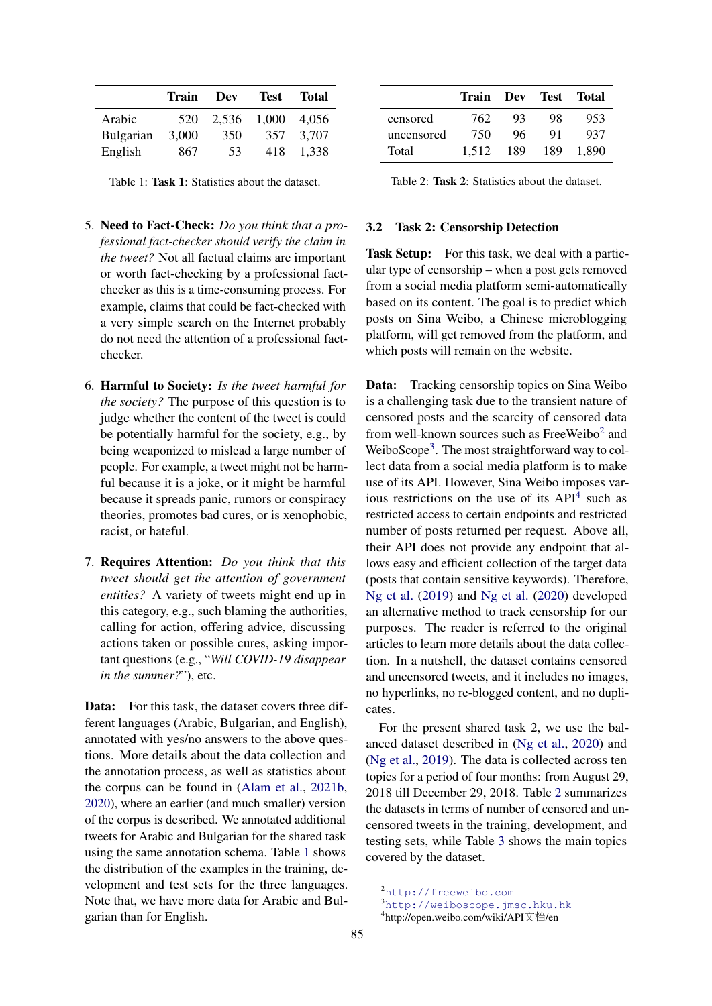<span id="page-3-0"></span>

|           | Train | Dev   | <b>Test</b> | <b>Total</b> |
|-----------|-------|-------|-------------|--------------|
| Arabic    | 520   | 2,536 | 1,000       | 4.056        |
| Bulgarian | 3,000 | 350   | 357         | 3.707        |
| English   | 867   | 53    | 418         | 1.338        |

Table 1: Task 1: Statistics about the dataset.

- 5. Need to Fact-Check: *Do you think that a professional fact-checker should verify the claim in the tweet?* Not all factual claims are important or worth fact-checking by a professional factchecker as this is a time-consuming process. For example, claims that could be fact-checked with a very simple search on the Internet probably do not need the attention of a professional factchecker.
- 6. Harmful to Society: *Is the tweet harmful for the society?* The purpose of this question is to judge whether the content of the tweet is could be potentially harmful for the society, e.g., by being weaponized to mislead a large number of people. For example, a tweet might not be harmful because it is a joke, or it might be harmful because it spreads panic, rumors or conspiracy theories, promotes bad cures, or is xenophobic, racist, or hateful.
- 7. Requires Attention: *Do you think that this tweet should get the attention of government entities?* A variety of tweets might end up in this category, e.g., such blaming the authorities, calling for action, offering advice, discussing actions taken or possible cures, asking important questions (e.g., "*Will COVID-19 disappear in the summer?*"), etc.

Data: For this task, the dataset covers three different languages (Arabic, Bulgarian, and English), annotated with yes/no answers to the above questions. More details about the data collection and the annotation process, as well as statistics about the corpus can be found in [\(Alam et al.,](#page-8-2) [2021b,](#page-8-2) [2020\)](#page-8-1), where an earlier (and much smaller) version of the corpus is described. We annotated additional tweets for Arabic and Bulgarian for the shared task using the same annotation schema. Table [1](#page-3-0) shows the distribution of the examples in the training, development and test sets for the three languages. Note that, we have more data for Arabic and Bulgarian than for English.

<span id="page-3-4"></span>

|            | Train Dev Test Total |     |     |       |
|------------|----------------------|-----|-----|-------|
| censored   | 762.                 | 93  | 98  | 953   |
| uncensored | 750                  | 96  | 91  | 937   |
| Total      | 1.512                | 189 | 189 | 1.890 |

Table 2: Task 2: Statistics about the dataset.

#### 3.2 Task 2: Censorship Detection

Task Setup: For this task, we deal with a particular type of censorship – when a post gets removed from a social media platform semi-automatically based on its content. The goal is to predict which posts on Sina Weibo, a Chinese microblogging platform, will get removed from the platform, and which posts will remain on the website.

Data: Tracking censorship topics on Sina Weibo is a challenging task due to the transient nature of censored posts and the scarcity of censored data from well-known sources such as FreeWeibo<sup>[2](#page-3-1)</sup> and WeiboScope<sup>[3](#page-3-2)</sup>. The most straightforward way to collect data from a social media platform is to make use of its API. However, Sina Weibo imposes various restrictions on the use of its  $API<sup>4</sup>$  $API<sup>4</sup>$  $API<sup>4</sup>$  such as restricted access to certain endpoints and restricted number of posts returned per request. Above all, their API does not provide any endpoint that allows easy and efficient collection of the target data (posts that contain sensitive keywords). Therefore, [Ng et al.](#page-10-13) [\(2019\)](#page-10-13) and [Ng et al.](#page-9-16) [\(2020\)](#page-9-16) developed an alternative method to track censorship for our purposes. The reader is referred to the original articles to learn more details about the data collection. In a nutshell, the dataset contains censored and uncensored tweets, and it includes no images, no hyperlinks, no re-blogged content, and no duplicates.

For the present shared task 2, we use the balanced dataset described in [\(Ng et al.,](#page-9-16) [2020\)](#page-9-16) and [\(Ng et al.,](#page-10-13) [2019\)](#page-10-13). The data is collected across ten topics for a period of four months: from August 29, 2018 till December 29, 2018. Table [2](#page-3-4) summarizes the datasets in terms of number of censored and uncensored tweets in the training, development, and testing sets, while Table [3](#page-4-0) shows the main topics covered by the dataset.

<span id="page-3-1"></span><sup>2</sup><http://freeweibo.com>

<span id="page-3-2"></span><sup>3</sup><http://weiboscope.jmsc.hku.hk>

<span id="page-3-3"></span><sup>4</sup> http://open.weibo.com/wiki/API文档/en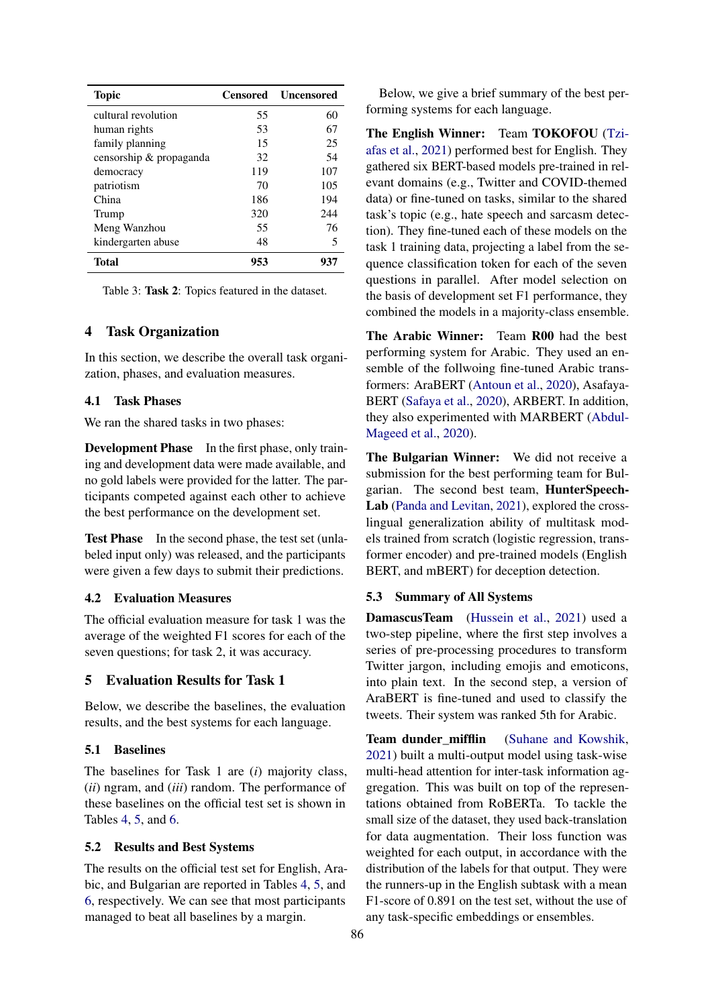<span id="page-4-0"></span>

| <b>Topic</b>            |     | <b>Censored</b> Uncensored |
|-------------------------|-----|----------------------------|
| cultural revolution     | 55  | 60                         |
| human rights            | 53  | 67                         |
| family planning         | 15  | 25                         |
| censorship & propaganda | 32  | 54                         |
| democracy               | 119 | 107                        |
| patriotism              | 70  | 105                        |
| China                   | 186 | 194                        |
| Trump                   | 320 | 244                        |
| Meng Wanzhou            | 55  | 76                         |
| kindergarten abuse      | 48  | 5                          |
| Total                   | 953 | 937                        |

Table 3: Task 2: Topics featured in the dataset.

## 4 Task Organization

In this section, we describe the overall task organization, phases, and evaluation measures.

## 4.1 Task Phases

We ran the shared tasks in two phases:

Development Phase In the first phase, only training and development data were made available, and no gold labels were provided for the latter. The participants competed against each other to achieve the best performance on the development set.

Test Phase In the second phase, the test set (unlabeled input only) was released, and the participants were given a few days to submit their predictions.

#### 4.2 Evaluation Measures

The official evaluation measure for task 1 was the average of the weighted F1 scores for each of the seven questions; for task 2, it was accuracy.

## 5 Evaluation Results for Task 1

Below, we describe the baselines, the evaluation results, and the best systems for each language.

## 5.1 Baselines

The baselines for Task 1 are (*i*) majority class, (*ii*) ngram, and (*iii*) random. The performance of these baselines on the official test set is shown in Tables [4,](#page-5-0) [5,](#page-5-1) and [6.](#page-5-2)

#### 5.2 Results and Best Systems

The results on the official test set for English, Arabic, and Bulgarian are reported in Tables [4,](#page-5-0) [5,](#page-5-1) and [6,](#page-5-2) respectively. We can see that most participants managed to beat all baselines by a margin.

Below, we give a brief summary of the best performing systems for each language.

The English Winner: Team TOKOFOU [\(Tzi](#page-10-14)[afas et al.,](#page-10-14) [2021\)](#page-10-14) performed best for English. They gathered six BERT-based models pre-trained in relevant domains (e.g., Twitter and COVID-themed data) or fine-tuned on tasks, similar to the shared task's topic (e.g., hate speech and sarcasm detection). They fine-tuned each of these models on the task 1 training data, projecting a label from the sequence classification token for each of the seven questions in parallel. After model selection on the basis of development set F1 performance, they combined the models in a majority-class ensemble.

The Arabic Winner: Team R00 had the best performing system for Arabic. They used an ensemble of the follwoing fine-tuned Arabic transformers: AraBERT [\(Antoun et al.,](#page-8-16) [2020\)](#page-8-16), Asafaya-BERT [\(Safaya et al.,](#page-10-15) [2020\)](#page-10-15), ARBERT. In addition, they also experimented with MARBERT [\(Abdul-](#page-8-17)[Mageed et al.,](#page-8-17) [2020\)](#page-8-17).

The Bulgarian Winner: We did not receive a submission for the best performing team for Bulgarian. The second best team, HunterSpeech-Lab [\(Panda and Levitan,](#page-10-16) [2021\)](#page-10-16), explored the crosslingual generalization ability of multitask models trained from scratch (logistic regression, transformer encoder) and pre-trained models (English BERT, and mBERT) for deception detection.

#### 5.3 Summary of All Systems

DamascusTeam [\(Hussein et al.,](#page-8-18) [2021\)](#page-8-18) used a two-step pipeline, where the first step involves a series of pre-processing procedures to transform Twitter jargon, including emojis and emoticons, into plain text. In the second step, a version of AraBERT is fine-tuned and used to classify the tweets. Their system was ranked 5th for Arabic.

Team dunder mifflin [\(Suhane and Kowshik,](#page-10-17) [2021\)](#page-10-17) built a multi-output model using task-wise multi-head attention for inter-task information aggregation. This was built on top of the representations obtained from RoBERTa. To tackle the small size of the dataset, they used back-translation for data augmentation. Their loss function was weighted for each output, in accordance with the distribution of the labels for that output. They were the runners-up in the English subtask with a mean F1-score of 0.891 on the test set, without the use of any task-specific embeddings or ensembles.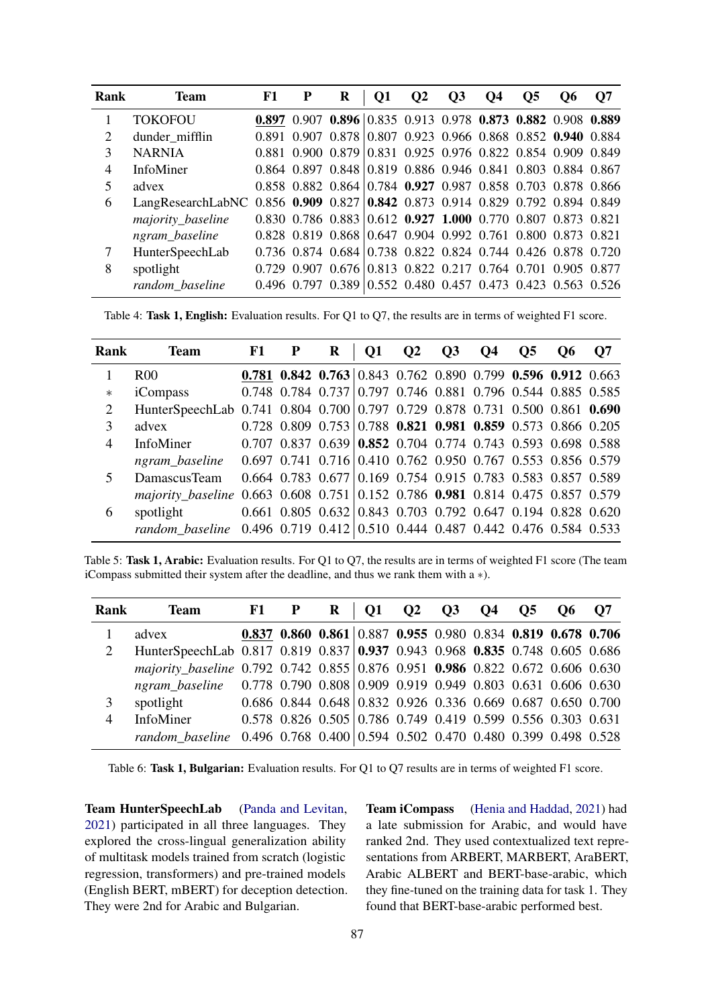<span id="page-5-0"></span>

| Rank | <b>Team</b>                                                                   | F1 | R                                                                               | Q1 | $\mathbf{O}2$ | <b>O3</b> | <b>O4</b> | O <sub>5</sub> | O6 | <b>Q7</b> |
|------|-------------------------------------------------------------------------------|----|---------------------------------------------------------------------------------|----|---------------|-----------|-----------|----------------|----|-----------|
|      | <b>TOKOFOU</b>                                                                |    | 0.897 0.907 0.896 0.835 0.913 0.978 0.873 0.882 0.908 0.889                     |    |               |           |           |                |    |           |
| 2    | dunder_mifflin                                                                |    | 0.891 0.907 0.878 0.807 0.923 0.966 0.868 0.852 0.940 0.884                     |    |               |           |           |                |    |           |
| 3    | <b>NARNIA</b>                                                                 |    | 0.881 0.900 0.879 0.831 0.925 0.976 0.822 0.854 0.909 0.849                     |    |               |           |           |                |    |           |
| 4    | <b>InfoMiner</b>                                                              |    | 0.864 0.897 0.848 0.819 0.886 0.946 0.841 0.803 0.884 0.867                     |    |               |           |           |                |    |           |
| 5    | advex                                                                         |    | 0.858 0.882 0.864 0.784 0.927 0.987 0.858 0.703 0.878 0.866                     |    |               |           |           |                |    |           |
| 6    | LangResearchLabNC 0.856 0.909 0.827 0.842 0.873 0.914 0.829 0.792 0.894 0.849 |    |                                                                                 |    |               |           |           |                |    |           |
|      | majority_baseline                                                             |    | $0.830$ $0.786$ $0.883$ $0.612$ $0.927$ $1.000$ $0.770$ $0.807$ $0.873$ $0.821$ |    |               |           |           |                |    |           |
|      | ngram_baseline                                                                |    | 0.828 0.819 0.868 0.647 0.904 0.992 0.761 0.800 0.873 0.821                     |    |               |           |           |                |    |           |
| 7    | HunterSpeechLab                                                               |    | 0.736 0.874 0.684 0.738 0.822 0.824 0.744 0.426 0.878 0.720                     |    |               |           |           |                |    |           |
| 8    | spotlight                                                                     |    | 0.729 0.907 0.676 0.813 0.822 0.217 0.764 0.701 0.905 0.877                     |    |               |           |           |                |    |           |
|      | random baseline                                                               |    | 0.496 0.797 0.389 0.552 0.480 0.457 0.473 0.423 0.563 0.526                     |    |               |           |           |                |    |           |

Table 4: Task 1, English: Evaluation results. For Q1 to Q7, the results are in terms of weighted F1 score.

<span id="page-5-1"></span>

| Rank           | <b>Team</b>                                                                   | F1 | R | <b>O1</b> | $Q2 \tQ3$ | <b>Q4</b> | O <sub>5</sub> | O <sub>6</sub>                                                                  | <b>O7</b> |
|----------------|-------------------------------------------------------------------------------|----|---|-----------|-----------|-----------|----------------|---------------------------------------------------------------------------------|-----------|
|                | R <sub>00</sub>                                                               |    |   |           |           |           |                | 0.781 0.842 0.763 0.843 0.762 0.890 0.799 0.596 0.912 0.663                     |           |
| $\ast$         | iCompass                                                                      |    |   |           |           |           |                | $0.748$ 0.784 0.737 0.797 0.746 0.881 0.796 0.544 0.885 0.585                   |           |
| $\overline{2}$ | HunterSpeechLab 0.741 0.804 0.700 0.797 0.729 0.878 0.731 0.500 0.861 0.690   |    |   |           |           |           |                |                                                                                 |           |
| 3              | advex                                                                         |    |   |           |           |           |                | $0.728$ 0.809 0.753 0.788 0.821 0.981 0.859 0.573 0.866 0.205                   |           |
| $\overline{4}$ | InfoMiner                                                                     |    |   |           |           |           |                | $0.707$ $0.837$ $0.639$ $0.852$ $0.704$ $0.774$ $0.743$ $0.593$ $0.698$ $0.588$ |           |
|                | ngram_baseline 0.697 0.741 0.716 0.410 0.762 0.950 0.767 0.553 0.856 0.579    |    |   |           |           |           |                |                                                                                 |           |
| 5              | DamascusTeam                                                                  |    |   |           |           |           |                | $0.664$ 0.783 0.677 0.169 0.754 0.915 0.783 0.583 0.857 0.589                   |           |
|                | majority_baseline 0.663 0.608 0.751 0.152 0.786 0.981 0.814 0.475 0.857 0.579 |    |   |           |           |           |                |                                                                                 |           |
| 6              | spotlight                                                                     |    |   |           |           |           |                | $0.661$ $0.805$ $0.632$ $0.843$ $0.703$ $0.792$ $0.647$ $0.194$ $0.828$ $0.620$ |           |
|                | random baseline 0.496 0.719 0.412 0.510 0.444 0.487 0.442 0.476 0.584 0.533   |    |   |           |           |           |                |                                                                                 |           |

Table 5: Task 1, Arabic: Evaluation results. For Q1 to Q7, the results are in terms of weighted F1 score (The team iCompass submitted their system after the deadline, and thus we rank them with a ∗).

<span id="page-5-2"></span>

| Rank           | <b>Team</b>                                                                   | $F1$ $P$ | $\mathbf{R}$                                                  |  |  | Q1 Q2 Q3 Q4 Q5 Q6 Q7 |  |
|----------------|-------------------------------------------------------------------------------|----------|---------------------------------------------------------------|--|--|----------------------|--|
|                | advex                                                                         |          | 0.837 0.860 0.861 0.887 0.955 0.980 0.834 0.819 0.678 0.706   |  |  |                      |  |
| 2              | HunterSpeechLab 0.817 0.819 0.837 0.937 0.943 0.968 0.835 0.748 0.605 0.686   |          |                                                               |  |  |                      |  |
|                | majority_baseline 0.792 0.742 0.855 0.876 0.951 0.986 0.822 0.672 0.606 0.630 |          |                                                               |  |  |                      |  |
|                | ngram baseline 0.778 0.790 0.808 0.909 0.919 0.949 0.803 0.631 0.606 0.630    |          |                                                               |  |  |                      |  |
| 3              | spotlight                                                                     |          | $0.686$ 0.844 0.648 0.832 0.926 0.336 0.669 0.687 0.650 0.700 |  |  |                      |  |
| $\overline{4}$ | <b>InfoMiner</b>                                                              |          | $0.578$ 0.826 0.505 0.786 0.749 0.419 0.599 0.556 0.303 0.631 |  |  |                      |  |
|                | random_baseline 0.496 0.768 0.400 0.594 0.502 0.470 0.480 0.399 0.498 0.528   |          |                                                               |  |  |                      |  |

Table 6: Task 1, Bulgarian: Evaluation results. For Q1 to Q7 results are in terms of weighted F1 score.

Team HunterSpeechLab [\(Panda and Levitan,](#page-10-16) [2021\)](#page-10-16) participated in all three languages. They explored the cross-lingual generalization ability of multitask models trained from scratch (logistic regression, transformers) and pre-trained models (English BERT, mBERT) for deception detection. They were 2nd for Arabic and Bulgarian.

Team iCompass [\(Henia and Haddad,](#page-8-19) [2021\)](#page-8-19) had a late submission for Arabic, and would have ranked 2nd. They used contextualized text representations from ARBERT, MARBERT, AraBERT, Arabic ALBERT and BERT-base-arabic, which they fine-tuned on the training data for task 1. They found that BERT-base-arabic performed best.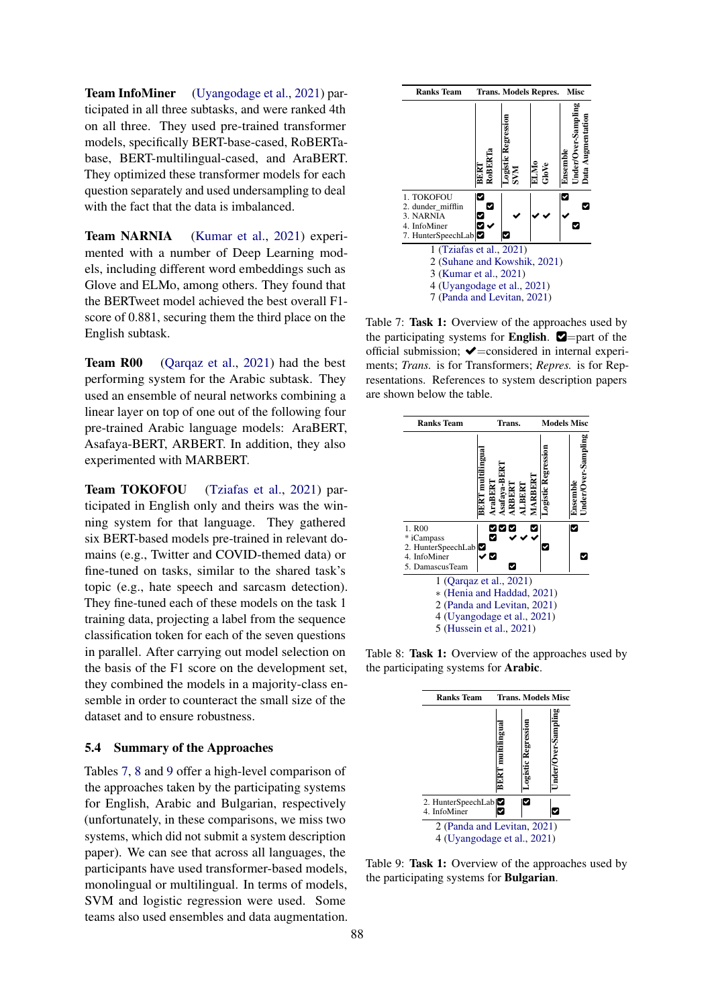Team InfoMiner [\(Uyangodage et al.,](#page-10-18) [2021\)](#page-10-18) participated in all three subtasks, and were ranked 4th on all three. They used pre-trained transformer models, specifically BERT-base-cased, RoBERTabase, BERT-multilingual-cased, and AraBERT. They optimized these transformer models for each question separately and used undersampling to deal with the fact that the data is imbalanced.

Team NARNIA [\(Kumar et al.,](#page-9-18) [2021\)](#page-9-18) experimented with a number of Deep Learning models, including different word embeddings such as Glove and ELMo, among others. They found that the BERTweet model achieved the best overall F1 score of 0.881, securing them the third place on the English subtask.

Team R00 [\(Qarqaz et al.,](#page-10-19) [2021\)](#page-10-19) had the best performing system for the Arabic subtask. They used an ensemble of neural networks combining a linear layer on top of one out of the following four pre-trained Arabic language models: AraBERT, Asafaya-BERT, ARBERT. In addition, they also experimented with MARBERT.

Team TOKOFOU [\(Tziafas et al.,](#page-10-14) [2021\)](#page-10-14) participated in English only and theirs was the winning system for that language. They gathered six BERT-based models pre-trained in relevant domains (e.g., Twitter and COVID-themed data) or fine-tuned on tasks, similar to the shared task's topic (e.g., hate speech and sarcasm detection). They fine-tuned each of these models on the task 1 training data, projecting a label from the sequence classification token for each of the seven questions in parallel. After carrying out model selection on the basis of the F1 score on the development set, they combined the models in a majority-class ensemble in order to counteract the small size of the dataset and to ensure robustness.

## 5.4 Summary of the Approaches

Tables [7,](#page-6-0) [8](#page-6-1) and [9](#page-6-2) offer a high-level comparison of the approaches taken by the participating systems for English, Arabic and Bulgarian, respectively (unfortunately, in these comparisons, we miss two systems, which did not submit a system description paper). We can see that across all languages, the participants have used transformer-based models, monolingual or multilingual. In terms of models, SVM and logistic regression were used. Some teams also used ensembles and data augmentation.

<span id="page-6-0"></span>

Table 7: Task 1: Overview of the approaches used by the participating systems for **English.**  $\blacksquare$ =part of the official submission;  $\blacktriangleright$ =considered in internal experiments; *Trans.* is for Transformers; *Repres.* is for Representations. References to system description papers are shown below the table.

<span id="page-6-1"></span>

<span id="page-6-2"></span>Table 8: Task 1: Overview of the approaches used by the participating systems for Arabic.



Table 9: Task 1: Overview of the approaches used by the participating systems for Bulgarian.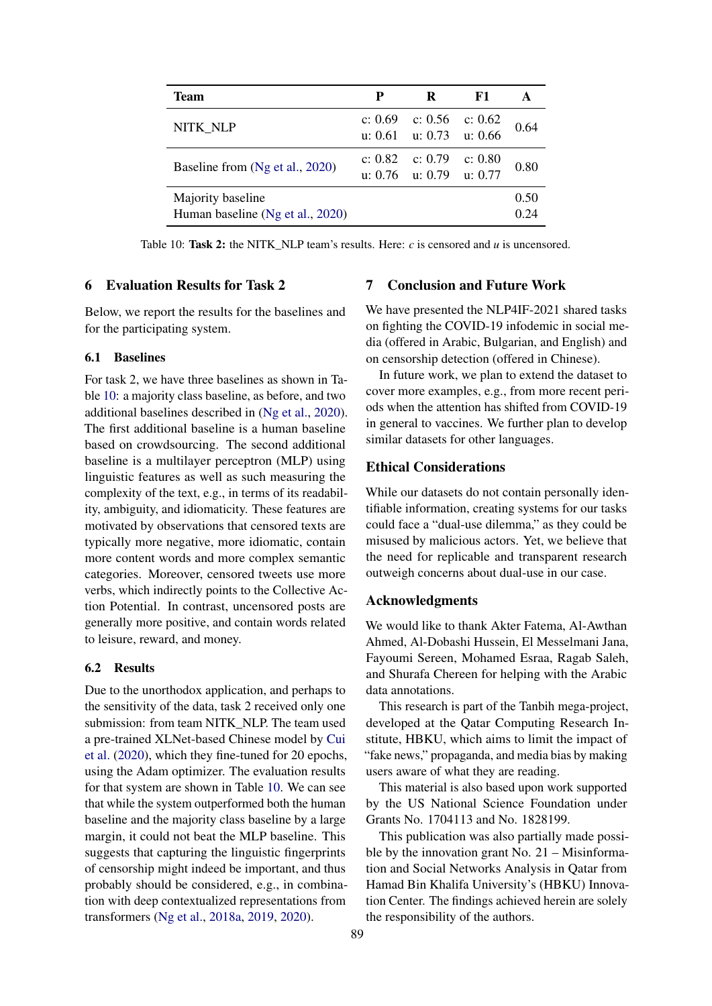<span id="page-7-0"></span>

| Team                                                  | P       | R                                              | F1        |              |
|-------------------------------------------------------|---------|------------------------------------------------|-----------|--------------|
| NITK NLP                                              |         | c: $0.69$ c: $0.56$<br>u: 0.61 u: 0.73 u: 0.66 | c: $0.62$ | 0.64         |
| Baseline from (Ng et al., 2020)                       | c: 0.82 | c: 0.79<br>u: 0.76 u: 0.79 u: 0.77             | c: 0.80   | 0.80         |
| Majority baseline<br>Human baseline (Ng et al., 2020) |         |                                                |           | 0.50<br>0.24 |

Table 10: Task 2: the NITK\_NLP team's results. Here:  $c$  is censored and  $u$  is uncensored.

## 6 Evaluation Results for Task 2

Below, we report the results for the baselines and for the participating system.

#### 6.1 Baselines

For task 2, we have three baselines as shown in Table [10:](#page-7-0) a majority class baseline, as before, and two additional baselines described in [\(Ng et al.,](#page-9-16) [2020\)](#page-9-16). The first additional baseline is a human baseline based on crowdsourcing. The second additional baseline is a multilayer perceptron (MLP) using linguistic features as well as such measuring the complexity of the text, e.g., in terms of its readability, ambiguity, and idiomaticity. These features are motivated by observations that censored texts are typically more negative, more idiomatic, contain more content words and more complex semantic categories. Moreover, censored tweets use more verbs, which indirectly points to the Collective Action Potential. In contrast, uncensored posts are generally more positive, and contain words related to leisure, reward, and money.

#### 6.2 Results

Due to the unorthodox application, and perhaps to the sensitivity of the data, task 2 received only one submission: from team NITK\_NLP. The team used a pre-trained XLNet-based Chinese model by [Cui](#page-8-20) [et al.](#page-8-20) [\(2020\)](#page-8-20), which they fine-tuned for 20 epochs, using the Adam optimizer. The evaluation results for that system are shown in Table [10.](#page-7-0) We can see that while the system outperformed both the human baseline and the majority class baseline by a large margin, it could not beat the MLP baseline. This suggests that capturing the linguistic fingerprints of censorship might indeed be important, and thus probably should be considered, e.g., in combination with deep contextualized representations from transformers [\(Ng et al.,](#page-9-19) [2018a,](#page-9-19) [2019,](#page-10-13) [2020\)](#page-9-16).

# 7 Conclusion and Future Work

We have presented the NLP4IF-2021 shared tasks on fighting the COVID-19 infodemic in social media (offered in Arabic, Bulgarian, and English) and on censorship detection (offered in Chinese).

In future work, we plan to extend the dataset to cover more examples, e.g., from more recent periods when the attention has shifted from COVID-19 in general to vaccines. We further plan to develop similar datasets for other languages.

# Ethical Considerations

While our datasets do not contain personally identifiable information, creating systems for our tasks could face a "dual-use dilemma," as they could be misused by malicious actors. Yet, we believe that the need for replicable and transparent research outweigh concerns about dual-use in our case.

## Acknowledgments

We would like to thank Akter Fatema, Al-Awthan Ahmed, Al-Dobashi Hussein, El Messelmani Jana, Fayoumi Sereen, Mohamed Esraa, Ragab Saleh, and Shurafa Chereen for helping with the Arabic data annotations.

This research is part of the Tanbih mega-project, developed at the Qatar Computing Research Institute, HBKU, which aims to limit the impact of "fake news," propaganda, and media bias by making users aware of what they are reading.

This material is also based upon work supported by the US National Science Foundation under Grants No. 1704113 and No. 1828199.

This publication was also partially made possible by the innovation grant No.  $21 -$ Misinformation and Social Networks Analysis in Qatar from Hamad Bin Khalifa University's (HBKU) Innovation Center. The findings achieved herein are solely the responsibility of the authors.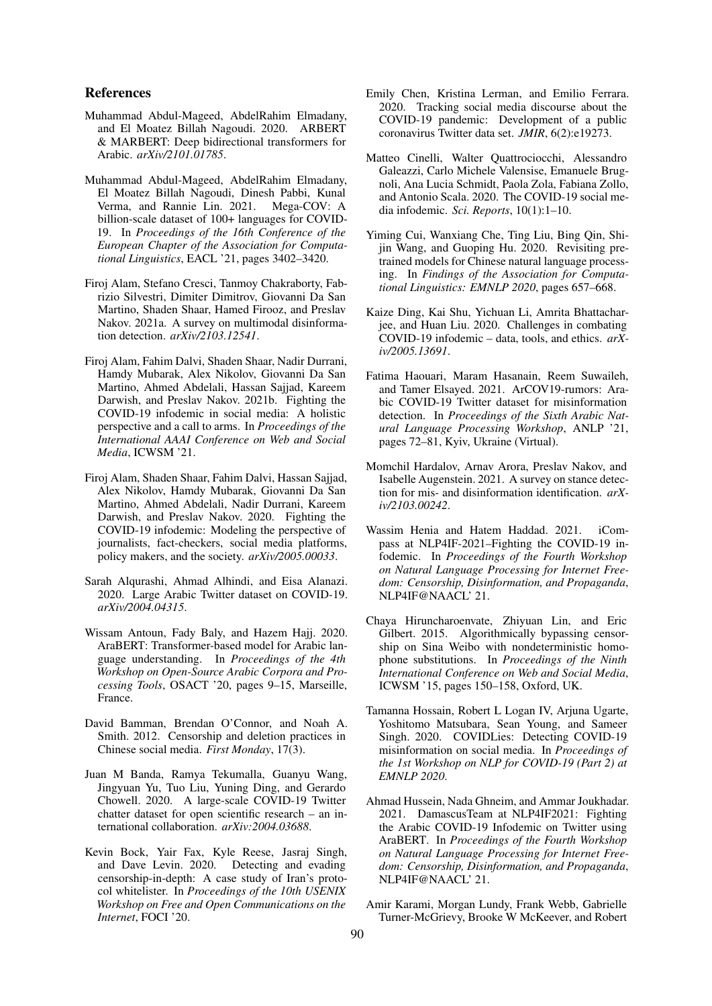#### References

- <span id="page-8-17"></span>Muhammad Abdul-Mageed, AbdelRahim Elmadany, and El Moatez Billah Nagoudi. 2020. ARBERT & MARBERT: Deep bidirectional transformers for Arabic. *arXiv/2101.01785*.
- <span id="page-8-8"></span>Muhammad Abdul-Mageed, AbdelRahim Elmadany, El Moatez Billah Nagoudi, Dinesh Pabbi, Kunal Verma, and Rannie Lin. 2021. Mega-COV: A billion-scale dataset of 100+ languages for COVID-19. In *Proceedings of the 16th Conference of the European Chapter of the Association for Computational Linguistics*, EACL '21, pages 3402–3420.
- <span id="page-8-4"></span>Firoj Alam, Stefano Cresci, Tanmoy Chakraborty, Fabrizio Silvestri, Dimiter Dimitrov, Giovanni Da San Martino, Shaden Shaar, Hamed Firooz, and Preslav Nakov. 2021a. A survey on multimodal disinformation detection. *arXiv/2103.12541*.
- <span id="page-8-2"></span>Firoj Alam, Fahim Dalvi, Shaden Shaar, Nadir Durrani, Hamdy Mubarak, Alex Nikolov, Giovanni Da San Martino, Ahmed Abdelali, Hassan Sajjad, Kareem Darwish, and Preslav Nakov. 2021b. Fighting the COVID-19 infodemic in social media: A holistic perspective and a call to arms. In *Proceedings of the International AAAI Conference on Web and Social Media*, ICWSM '21.
- <span id="page-8-1"></span>Firoj Alam, Shaden Shaar, Fahim Dalvi, Hassan Sajjad, Alex Nikolov, Hamdy Mubarak, Giovanni Da San Martino, Ahmed Abdelali, Nadir Durrani, Kareem Darwish, and Preslav Nakov. 2020. Fighting the COVID-19 infodemic: Modeling the perspective of journalists, fact-checkers, social media platforms, policy makers, and the society. *arXiv/2005.00033*.
- <span id="page-8-10"></span>Sarah Alqurashi, Ahmad Alhindi, and Eisa Alanazi. 2020. Large Arabic Twitter dataset on COVID-19. *arXiv/2004.04315*.
- <span id="page-8-16"></span>Wissam Antoun, Fady Baly, and Hazem Hajj. 2020. AraBERT: Transformer-based model for Arabic language understanding. In *Proceedings of the 4th Workshop on Open-Source Arabic Corpora and Processing Tools*, OSACT '20, pages 9–15, Marseille, France.
- <span id="page-8-15"></span>David Bamman, Brendan O'Connor, and Noah A. Smith. 2012. Censorship and deletion practices in Chinese social media. *First Monday*, 17(3).
- <span id="page-8-7"></span>Juan M Banda, Ramya Tekumalla, Guanyu Wang, Jingyuan Yu, Tuo Liu, Yuning Ding, and Gerardo Chowell. 2020. A large-scale COVID-19 Twitter chatter dataset for open scientific research – an international collaboration. *arXiv:2004.03688*.
- <span id="page-8-13"></span>Kevin Bock, Yair Fax, Kyle Reese, Jasraj Singh, and Dave Levin. 2020. Detecting and evading censorship-in-depth: A case study of Iran's protocol whitelister. In *Proceedings of the 10th USENIX Workshop on Free and Open Communications on the Internet*, FOCI '20.
- <span id="page-8-6"></span>Emily Chen, Kristina Lerman, and Emilio Ferrara. 2020. Tracking social media discourse about the COVID-19 pandemic: Development of a public coronavirus Twitter data set. *JMIR*, 6(2):e19273.
- <span id="page-8-5"></span>Matteo Cinelli, Walter Quattrociocchi, Alessandro Galeazzi, Carlo Michele Valensise, Emanuele Brugnoli, Ana Lucia Schmidt, Paola Zola, Fabiana Zollo, and Antonio Scala. 2020. The COVID-19 social media infodemic. *Sci. Reports*, 10(1):1–10.
- <span id="page-8-20"></span>Yiming Cui, Wanxiang Che, Ting Liu, Bing Qin, Shijin Wang, and Guoping Hu. 2020. Revisiting pretrained models for Chinese natural language processing. In *Findings of the Association for Computational Linguistics: EMNLP 2020*, pages 657–668.
- <span id="page-8-11"></span>Kaize Ding, Kai Shu, Yichuan Li, Amrita Bhattacharjee, and Huan Liu. 2020. Challenges in combating COVID-19 infodemic – data, tools, and ethics. *arXiv/2005.13691*.
- <span id="page-8-9"></span>Fatima Haouari, Maram Hasanain, Reem Suwaileh, and Tamer Elsayed. 2021. ArCOV19-rumors: Arabic COVID-19 Twitter dataset for misinformation detection. In *Proceedings of the Sixth Arabic Natural Language Processing Workshop*, ANLP '21, pages 72–81, Kyiv, Ukraine (Virtual).
- <span id="page-8-3"></span>Momchil Hardalov, Arnav Arora, Preslav Nakov, and Isabelle Augenstein. 2021. A survey on stance detection for mis- and disinformation identification. *arXiv/2103.00242*.
- <span id="page-8-19"></span>Wassim Henia and Hatem Haddad. 2021. iCompass at NLP4IF-2021–Fighting the COVID-19 infodemic. In *Proceedings of the Fourth Workshop on Natural Language Processing for Internet Freedom: Censorship, Disinformation, and Propaganda*, NLP4IF@NAACL' 21.
- <span id="page-8-14"></span>Chaya Hiruncharoenvate, Zhiyuan Lin, and Eric Gilbert. 2015. Algorithmically bypassing censorship on Sina Weibo with nondeterministic homophone substitutions. In *Proceedings of the Ninth International Conference on Web and Social Media*, ICWSM '15, pages 150–158, Oxford, UK.
- <span id="page-8-12"></span>Tamanna Hossain, Robert L Logan IV, Arjuna Ugarte, Yoshitomo Matsubara, Sean Young, and Sameer Singh. 2020. COVIDLies: Detecting COVID-19 misinformation on social media. In *Proceedings of the 1st Workshop on NLP for COVID-19 (Part 2) at EMNLP 2020*.
- <span id="page-8-18"></span>Ahmad Hussein, Nada Ghneim, and Ammar Joukhadar. 2021. DamascusTeam at NLP4IF2021: Fighting the Arabic COVID-19 Infodemic on Twitter using AraBERT. In *Proceedings of the Fourth Workshop on Natural Language Processing for Internet Freedom: Censorship, Disinformation, and Propaganda*, NLP4IF@NAACL' 21.
- <span id="page-8-0"></span>Amir Karami, Morgan Lundy, Frank Webb, Gabrielle Turner-McGrievy, Brooke W McKeever, and Robert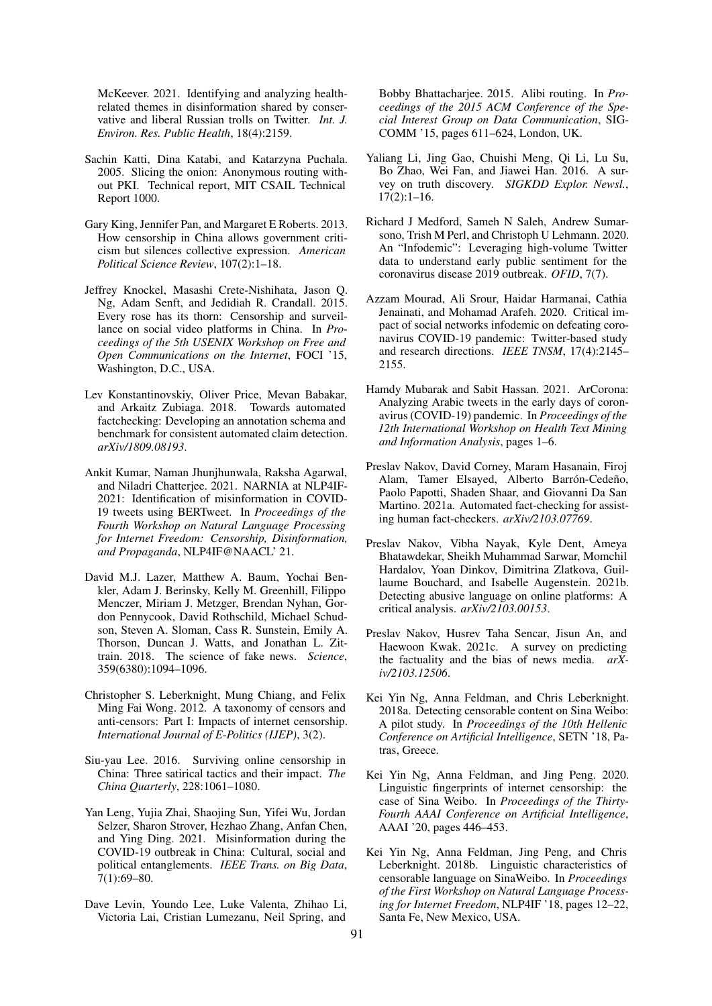McKeever. 2021. Identifying and analyzing healthrelated themes in disinformation shared by conservative and liberal Russian trolls on Twitter. *Int. J. Environ. Res. Public Health*, 18(4):2159.

- <span id="page-9-10"></span>Sachin Katti, Dina Katabi, and Katarzyna Puchala. 2005. Slicing the onion: Anonymous routing without PKI. Technical report, MIT CSAIL Technical Report 1000.
- <span id="page-9-13"></span>Gary King, Jennifer Pan, and Margaret E Roberts. 2013. How censorship in China allows government criticism but silences collective expression. *American Political Science Review*, 107(2):1–18.
- <span id="page-9-14"></span>Jeffrey Knockel, Masashi Crete-Nishihata, Jason Q. Ng, Adam Senft, and Jedidiah R. Crandall. 2015. Every rose has its thorn: Censorship and surveillance on social video platforms in China. In *Proceedings of the 5th USENIX Workshop on Free and Open Communications on the Internet*, FOCI '15, Washington, D.C., USA.
- <span id="page-9-17"></span>Lev Konstantinovskiy, Oliver Price, Mevan Babakar, and Arkaitz Zubiaga. 2018. Towards automated factchecking: Developing an annotation schema and benchmark for consistent automated claim detection. *arXiv/1809.08193*.
- <span id="page-9-18"></span>Ankit Kumar, Naman Jhunjhunwala, Raksha Agarwal, and Niladri Chatterjee. 2021. NARNIA at NLP4IF-2021: Identification of misinformation in COVID-19 tweets using BERTweet. In *Proceedings of the Fourth Workshop on Natural Language Processing for Internet Freedom: Censorship, Disinformation, and Propaganda*, NLP4IF@NAACL' 21.
- <span id="page-9-3"></span>David M.J. Lazer, Matthew A. Baum, Yochai Benkler, Adam J. Berinsky, Kelly M. Greenhill, Filippo Menczer, Miriam J. Metzger, Brendan Nyhan, Gordon Pennycook, David Rothschild, Michael Schudson, Steven A. Sloman, Cass R. Sunstein, Emily A. Thorson, Duncan J. Watts, and Jonathan L. Zittrain. 2018. The science of fake news. *Science*, 359(6380):1094–1096.
- <span id="page-9-9"></span>Christopher S. Leberknight, Mung Chiang, and Felix Ming Fai Wong. 2012. A taxonomy of censors and anti-censors: Part I: Impacts of internet censorship. *International Journal of E-Politics (IJEP)*, 3(2).
- <span id="page-9-12"></span>Siu-yau Lee. 2016. Surviving online censorship in China: Three satirical tactics and their impact. *The China Quarterly*, 228:1061–1080.
- <span id="page-9-0"></span>Yan Leng, Yujia Zhai, Shaojing Sun, Yifei Wu, Jordan Selzer, Sharon Strover, Hezhao Zhang, Anfan Chen, and Ying Ding. 2021. Misinformation during the COVID-19 outbreak in China: Cultural, social and political entanglements. *IEEE Trans. on Big Data*, 7(1):69–80.
- <span id="page-9-11"></span>Dave Levin, Youndo Lee, Luke Valenta, Zhihao Li, Victoria Lai, Cristian Lumezanu, Neil Spring, and

Bobby Bhattacharjee. 2015. Alibi routing. In *Proceedings of the 2015 ACM Conference of the Special Interest Group on Data Communication*, SIG-COMM '15, pages 611–624, London, UK.

- <span id="page-9-4"></span>Yaliang Li, Jing Gao, Chuishi Meng, Qi Li, Lu Su, Bo Zhao, Wei Fan, and Jiawei Han. 2016. A survey on truth discovery. *SIGKDD Explor. Newsl.*, 17(2):1–16.
- <span id="page-9-1"></span>Richard J Medford, Sameh N Saleh, Andrew Sumarsono, Trish M Perl, and Christoph U Lehmann. 2020. An "Infodemic": Leveraging high-volume Twitter data to understand early public sentiment for the coronavirus disease 2019 outbreak. *OFID*, 7(7).
- <span id="page-9-2"></span>Azzam Mourad, Ali Srour, Haidar Harmanai, Cathia Jenainati, and Mohamad Arafeh. 2020. Critical impact of social networks infodemic on defeating coronavirus COVID-19 pandemic: Twitter-based study and research directions. *IEEE TNSM*, 17(4):2145– 2155.
- <span id="page-9-8"></span>Hamdy Mubarak and Sabit Hassan. 2021. ArCorona: Analyzing Arabic tweets in the early days of coronavirus (COVID-19) pandemic. In *Proceedings of the 12th International Workshop on Health Text Mining and Information Analysis*, pages 1–6.
- <span id="page-9-5"></span>Preslav Nakov, David Corney, Maram Hasanain, Firoj Alam, Tamer Elsayed, Alberto Barrón-Cedeño, Paolo Papotti, Shaden Shaar, and Giovanni Da San Martino. 2021a. Automated fact-checking for assisting human fact-checkers. *arXiv/2103.07769*.
- <span id="page-9-7"></span>Preslav Nakov, Vibha Nayak, Kyle Dent, Ameya Bhatawdekar, Sheikh Muhammad Sarwar, Momchil Hardalov, Yoan Dinkov, Dimitrina Zlatkova, Guillaume Bouchard, and Isabelle Augenstein. 2021b. Detecting abusive language on online platforms: A critical analysis. *arXiv/2103.00153*.
- <span id="page-9-6"></span>Preslav Nakov, Husrev Taha Sencar, Jisun An, and Haewoon Kwak. 2021c. A survey on predicting the factuality and the bias of news media. *arXiv/2103.12506*.
- <span id="page-9-19"></span>Kei Yin Ng, Anna Feldman, and Chris Leberknight. 2018a. Detecting censorable content on Sina Weibo: A pilot study. In *Proceedings of the 10th Hellenic Conference on Artificial Intelligence*, SETN '18, Patras, Greece.
- <span id="page-9-16"></span>Kei Yin Ng, Anna Feldman, and Jing Peng. 2020. Linguistic fingerprints of internet censorship: the case of Sina Weibo. In *Proceedings of the Thirty-Fourth AAAI Conference on Artificial Intelligence*, AAAI '20, pages 446–453.
- <span id="page-9-15"></span>Kei Yin Ng, Anna Feldman, Jing Peng, and Chris Leberknight. 2018b. Linguistic characteristics of censorable language on SinaWeibo. In *Proceedings of the First Workshop on Natural Language Processing for Internet Freedom*, NLP4IF '18, pages 12–22, Santa Fe, New Mexico, USA.